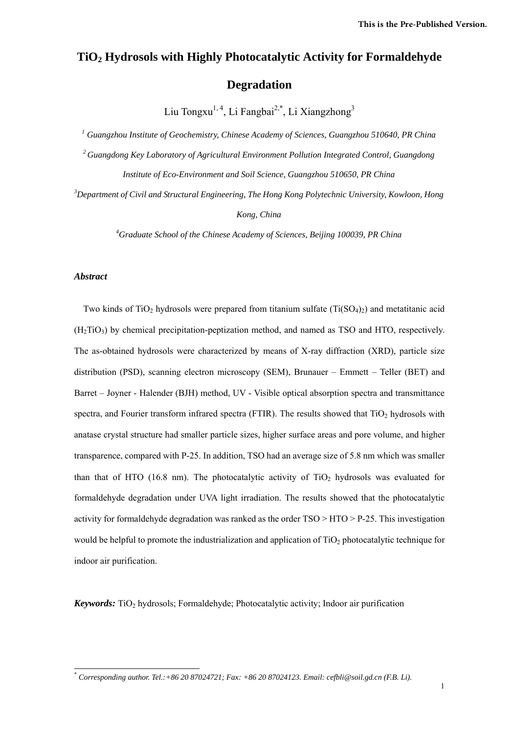# **TiO2 Hydrosols with Highly Photocatalytic Activity for Formaldehyde Degradation**

Liu Tongxu<sup>1, 4</sup>, Li Fangbai<sup>2,\*</sup>, Li Xiangzhong<sup>3</sup>

<sup>1</sup> Guangzhou Institute of Geochemistry, Chinese Academy of Sciences, Guangzhou 510640, PR China *2 Guangdong Key Laboratory of Agricultural Environment Pollution Integrated Control, Guangdong Institute of Eco-Environment and Soil Science, Guangzhou 510650, PR China* 

*3 Department of Civil and Structural Engineering, The Hong Kong Polytechnic University, Kowloon, Hong Kong, China* 

*4 Graduate School of the Chinese Academy of Sciences, Beijing 100039, PR China* 

# *Abstract*

-

Two kinds of TiO<sub>2</sub> hydrosols were prepared from titanium sulfate (Ti(SO<sub>4</sub>)<sub>2</sub>) and metatitanic acid  $(H<sub>2</sub>TiO<sub>3</sub>)$  by chemical precipitation-peptization method, and named as TSO and HTO, respectively. The as-obtained hydrosols were characterized by means of X-ray diffraction (XRD), particle size distribution (PSD), scanning electron microscopy (SEM), Brunauer – Emmett – Teller (BET) and Barret – Joyner - Halender (BJH) method, UV - Visible optical absorption spectra and transmittance spectra, and Fourier transform infrared spectra (FTIR). The results showed that  $TiO<sub>2</sub>$  hydrosols with anatase crystal structure had smaller particle sizes, higher surface areas and pore volume, and higher transparence, compared with P-25. In addition, TSO had an average size of 5.8 nm which was smaller than that of HTO (16.8 nm). The photocatalytic activity of  $TiO<sub>2</sub>$  hydrosols was evaluated for formaldehyde degradation under UVA light irradiation. The results showed that the photocatalytic activity for formaldehyde degradation was ranked as the order TSO > HTO > P-25. This investigation would be helpful to promote the industrialization and application of  $TiO<sub>2</sub>$  photocatalytic technique for indoor air purification.

*Keywords:* TiO<sub>2</sub> hydrosols; Formaldehyde; Photocatalytic activity; Indoor air purification

<sup>\*</sup> *Corresponding author. Tel.:+86 20 87024721; Fax: +86 20 87024123. Email: cefbli@soil.gd.cn (F.B. Li).*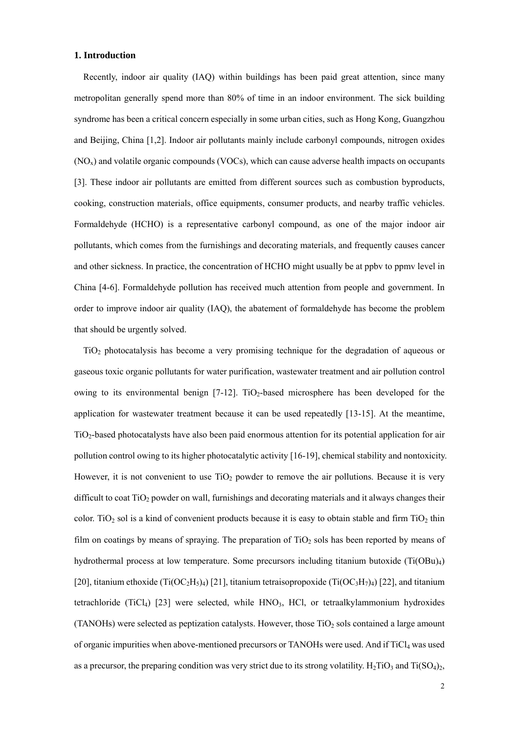# **1. Introduction**

Recently, indoor air quality (IAQ) within buildings has been paid great attention, since many metropolitan generally spend more than 80% of time in an indoor environment. The sick building syndrome has been a critical concern especially in some urban cities, such as Hong Kong, Guangzhou and Beijing, China [1,2]. Indoor air pollutants mainly include carbonyl compounds, nitrogen oxides (NOx) and volatile organic compounds (VOCs), which can cause adverse health impacts on occupants [3]. These indoor air pollutants are emitted from different sources such as combustion byproducts, cooking, construction materials, office equipments, consumer products, and nearby traffic vehicles. Formaldehyde (HCHO) is a representative carbonyl compound, as one of the major indoor air pollutants, which comes from the furnishings and decorating materials, and frequently causes cancer and other sickness. In practice, the concentration of HCHO might usually be at ppbv to ppmv level in China [4-6]. Formaldehyde pollution has received much attention from people and government. In order to improve indoor air quality (IAQ), the abatement of formaldehyde has become the problem that should be urgently solved.

TiO2 photocatalysis has become a very promising technique for the degradation of aqueous or gaseous toxic organic pollutants for water purification, wastewater treatment and air pollution control owing to its environmental benign  $[7-12]$ . TiO<sub>2</sub>-based microsphere has been developed for the application for wastewater treatment because it can be used repeatedly [13-15]. At the meantime,  $TiO<sub>2</sub>$ -based photocatalysts have also been paid enormous attention for its potential application for air pollution control owing to its higher photocatalytic activity [16-19], chemical stability and nontoxicity. However, it is not convenient to use  $TiO<sub>2</sub>$  powder to remove the air pollutions. Because it is very difficult to coat TiO<sub>2</sub> powder on wall, furnishings and decorating materials and it always changes their color. TiO<sub>2</sub> sol is a kind of convenient products because it is easy to obtain stable and firm TiO<sub>2</sub> thin film on coatings by means of spraying. The preparation of  $TiO<sub>2</sub>$  sols has been reported by means of hydrothermal process at low temperature. Some precursors including titanium butoxide (Ti(OBu)<sub>4</sub>) [20], titanium ethoxide (Ti(OC<sub>2</sub>H<sub>5</sub>)<sub>4</sub>) [21], titanium tetraisopropoxide (Ti(OC<sub>3</sub>H<sub>7</sub>)<sub>4</sub>) [22], and titanium tetrachloride (TiCl<sub>4</sub>) [23] were selected, while  $HNO<sub>3</sub>$ , HCl, or tetraalkylammonium hydroxides (TANOHs) were selected as peptization catalysts. However, those  $TiO<sub>2</sub>$  sols contained a large amount of organic impurities when above-mentioned precursors or TANOHs were used. And if TiCl<sub>4</sub> was used as a precursor, the preparing condition was very strict due to its strong volatility. H<sub>2</sub>TiO<sub>3</sub> and Ti(SO<sub>4</sub>)<sub>2</sub>,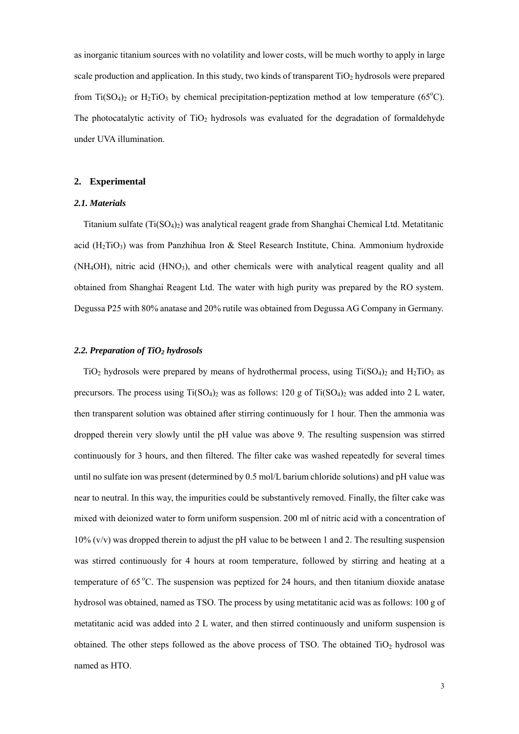as inorganic titanium sources with no volatility and lower costs, will be much worthy to apply in large scale production and application. In this study, two kinds of transparent  $TiO<sub>2</sub>$  hydrosols were prepared from Ti(SO<sub>4</sub>)<sub>2</sub> or H<sub>2</sub>TiO<sub>3</sub> by chemical precipitation-peptization method at low temperature (65<sup>o</sup>C). The photocatalytic activity of  $TiO<sub>2</sub>$  hydrosols was evaluated for the degradation of formaldehyde under UVA illumination.

#### **2. Experimental**

#### *2.1. Materials*

Titanium sulfate  $(Ti(SO<sub>4</sub>)<sub>2</sub>)$  was analytical reagent grade from Shanghai Chemical Ltd. Metatitanic acid ( $H_2TiO_3$ ) was from Panzhihua Iron & Steel Research Institute, China. Ammonium hydroxide (NH4OH), nitric acid (HNO3), and other chemicals were with analytical reagent quality and all obtained from Shanghai Reagent Ltd. The water with high purity was prepared by the RO system. Degussa P25 with 80% anatase and 20% rutile was obtained from Degussa AG Company in Germany.

#### *2.2. Preparation of TiO2 hydrosols*

TiO<sub>2</sub> hydrosols were prepared by means of hydrothermal process, using Ti(SO<sub>4</sub>)<sub>2</sub> and H<sub>2</sub>TiO<sub>3</sub> as precursors. The process using  $Ti(SO<sub>4</sub>)<sub>2</sub>$  was as follows: 120 g of  $Ti(SO<sub>4</sub>)<sub>2</sub>$  was added into 2 L water, then transparent solution was obtained after stirring continuously for 1 hour. Then the ammonia was dropped therein very slowly until the pH value was above 9. The resulting suspension was stirred continuously for 3 hours, and then filtered. The filter cake was washed repeatedly for several times until no sulfate ion was present (determined by 0.5 mol/L barium chloride solutions) and pH value was near to neutral. In this way, the impurities could be substantively removed. Finally, the filter cake was mixed with deionized water to form uniform suspension. 200 ml of nitric acid with a concentration of  $10\%$  (v/v) was dropped therein to adjust the pH value to be between 1 and 2. The resulting suspension was stirred continuously for 4 hours at room temperature, followed by stirring and heating at a temperature of 65 °C. The suspension was peptized for 24 hours, and then titanium dioxide anatase hydrosol was obtained, named as TSO. The process by using metatitanic acid was as follows: 100 g of metatitanic acid was added into 2 L water, and then stirred continuously and uniform suspension is obtained. The other steps followed as the above process of TSO. The obtained  $TiO<sub>2</sub>$  hydrosol was named as HTO.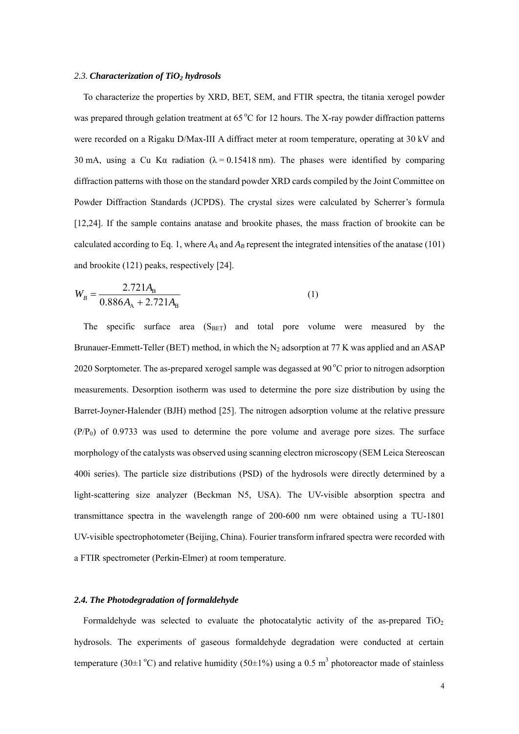#### 2.3. Characterization of TiO<sub>2</sub> hydrosols

To characterize the properties by XRD, BET, SEM, and FTIR spectra, the titania xerogel powder was prepared through gelation treatment at  $65^{\circ}$ C for 12 hours. The X-ray powder diffraction patterns were recorded on a Rigaku D/Max-III A diffract meter at room temperature, operating at 30 kV and 30 mA, using a Cu K $\alpha$  radiation ( $\lambda = 0.15418$  nm). The phases were identified by comparing diffraction patterns with those on the standard powder XRD cards compiled by the Joint Committee on Powder Diffraction Standards (JCPDS). The crystal sizes were calculated by Scherrer's formula [12,24]. If the sample contains anatase and brookite phases, the mass fraction of brookite can be calculated according to Eq. 1, where  $A_A$  and  $A_B$  represent the integrated intensities of the anatase (101) and brookite (121) peaks, respectively [24].

$$
W_B = \frac{2.721A_B}{0.886A_A + 2.721A_B} \tag{1}
$$

The specific surface area  $(S<sub>BET</sub>)$  and total pore volume were measured by the Brunauer-Emmett-Teller (BET) method, in which the  $N_2$  adsorption at 77 K was applied and an ASAP 2020 Sorptometer. The as-prepared xerogel sample was degassed at  $90^{\circ}$ C prior to nitrogen adsorption measurements. Desorption isotherm was used to determine the pore size distribution by using the Barret-Joyner-Halender (BJH) method [25]. The nitrogen adsorption volume at the relative pressure  $(P/P<sub>0</sub>)$  of 0.9733 was used to determine the pore volume and average pore sizes. The surface morphology of the catalysts was observed using scanning electron microscopy (SEM Leica Stereoscan 400i series). The particle size distributions (PSD) of the hydrosols were directly determined by a light-scattering size analyzer (Beckman N5, USA). The UV-visible absorption spectra and transmittance spectra in the wavelength range of 200-600 nm were obtained using a TU-1801 UV-visible spectrophotometer (Beijing, China). Fourier transform infrared spectra were recorded with a FTIR spectrometer (Perkin-Elmer) at room temperature.

#### *2.4. The Photodegradation of formaldehyde*

Formaldehyde was selected to evaluate the photocatalytic activity of the as-prepared  $TiO<sub>2</sub>$ hydrosols. The experiments of gaseous formaldehyde degradation were conducted at certain temperature (30 $\pm$ 1<sup>o</sup>C) and relative humidity (50 $\pm$ 1%) using a 0.5 m<sup>3</sup> photoreactor made of stainless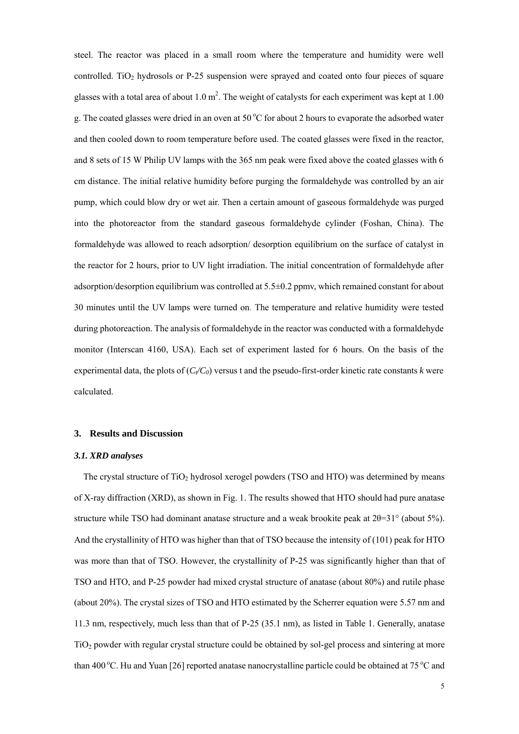steel. The reactor was placed in a small room where the temperature and humidity were well controlled. TiO<sub>2</sub> hydrosols or P-25 suspension were sprayed and coated onto four pieces of square glasses with a total area of about 1.0  $m^2$ . The weight of catalysts for each experiment was kept at 1.00 g. The coated glasses were dried in an oven at  $50^{\circ}$ C for about 2 hours to evaporate the adsorbed water and then cooled down to room temperature before used. The coated glasses were fixed in the reactor, and 8 sets of 15 W Philip UV lamps with the 365 nm peak were fixed above the coated glasses with 6 cm distance. The initial relative humidity before purging the formaldehyde was controlled by an air pump, which could blow dry or wet air. Then a certain amount of gaseous formaldehyde was purged into the photoreactor from the standard gaseous formaldehyde cylinder (Foshan, China). The formaldehyde was allowed to reach adsorption/ desorption equilibrium on the surface of catalyst in the reactor for 2 hours, prior to UV light irradiation. The initial concentration of formaldehyde after adsorption/desorption equilibrium was controlled at 5.5±0.2 ppmv, which remained constant for about 30 minutes until the UV lamps were turned on. The temperature and relative humidity were tested during photoreaction. The analysis of formaldehyde in the reactor was conducted with a formaldehyde monitor (Interscan 4160, USA). Each set of experiment lasted for 6 hours. On the basis of the experimental data, the plots of  $(C \sqrt{C_0})$  versus t and the pseudo-first-order kinetic rate constants *k* were calculated.

# **3. Results and Discussion**

#### *3.1. XRD analyses*

The crystal structure of  $TiO<sub>2</sub>$  hydrosol xerogel powders (TSO and HTO) was determined by means of X-ray diffraction (XRD), as shown in Fig. 1. The results showed that HTO should had pure anatase structure while TSO had dominant anatase structure and a weak brookite peak at  $2\theta = 31^\circ$  (about 5%). And the crystallinity of HTO was higher than that of TSO because the intensity of (101) peak for HTO was more than that of TSO. However, the crystallinity of P-25 was significantly higher than that of TSO and HTO, and P-25 powder had mixed crystal structure of anatase (about 80%) and rutile phase (about 20%). The crystal sizes of TSO and HTO estimated by the Scherrer equation were 5.57 nm and 11.3 nm, respectively, much less than that of P-25 (35.1 nm), as listed in Table 1. Generally, anatase TiO<sub>2</sub> powder with regular crystal structure could be obtained by sol-gel process and sintering at more than 400 °C. Hu and Yuan [26] reported anatase nanocrystalline particle could be obtained at 75 °C and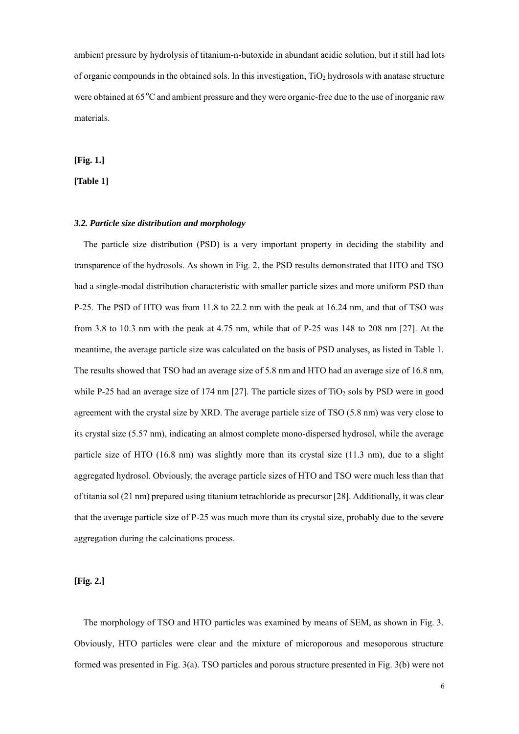ambient pressure by hydrolysis of titanium-n-butoxide in abundant acidic solution, but it still had lots of organic compounds in the obtained sols. In this investigation,  $TiO<sub>2</sub>$  hydrosols with anatase structure were obtained at 65 °C and ambient pressure and they were organic-free due to the use of inorganic raw materials.

**[Fig. 1.]** 

## **[Table 1]**

# *3.2. Particle size distribution and morphology*

The particle size distribution (PSD) is a very important property in deciding the stability and transparence of the hydrosols. As shown in Fig. 2, the PSD results demonstrated that HTO and TSO had a single-modal distribution characteristic with smaller particle sizes and more uniform PSD than P-25. The PSD of HTO was from 11.8 to 22.2 nm with the peak at 16.24 nm, and that of TSO was from 3.8 to 10.3 nm with the peak at 4.75 nm, while that of P-25 was 148 to 208 nm [27]. At the meantime, the average particle size was calculated on the basis of PSD analyses, as listed in Table 1. The results showed that TSO had an average size of 5.8 nm and HTO had an average size of 16.8 nm, while P-25 had an average size of 174 nm [27]. The particle sizes of  $TiO<sub>2</sub>$  sols by PSD were in good agreement with the crystal size by XRD. The average particle size of TSO (5.8 nm) was very close to its crystal size (5.57 nm), indicating an almost complete mono-dispersed hydrosol, while the average particle size of HTO (16.8 nm) was slightly more than its crystal size (11.3 nm), due to a slight aggregated hydrosol. Obviously, the average particle sizes of HTO and TSO were much less than that of titania sol (21 nm) prepared using titanium tetrachloride as precursor [28]. Additionally, it was clear that the average particle size of P-25 was much more than its crystal size, probably due to the severe aggregation during the calcinations process.

**[Fig. 2.]** 

The morphology of TSO and HTO particles was examined by means of SEM, as shown in Fig. 3. Obviously, HTO particles were clear and the mixture of microporous and mesoporous structure formed was presented in Fig. 3(a). TSO particles and porous structure presented in Fig. 3(b) were not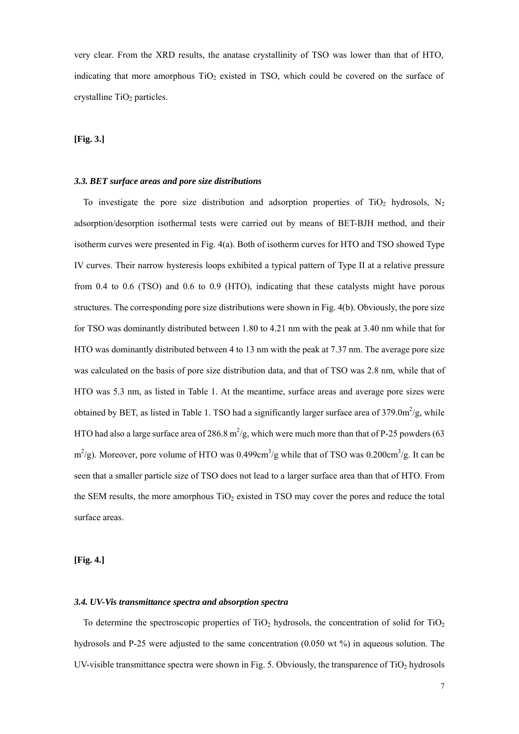very clear. From the XRD results, the anatase crystallinity of TSO was lower than that of HTO, indicating that more amorphous  $TiO<sub>2</sub>$  existed in TSO, which could be covered on the surface of crystalline  $TiO<sub>2</sub>$  particles.

# **[Fig. 3.]**

## *3.3. BET surface areas and pore size distributions*

To investigate the pore size distribution and adsorption properties of TiO<sub>2</sub> hydrosols, N<sub>2</sub> adsorption/desorption isothermal tests were carried out by means of BET-BJH method, and their isotherm curves were presented in Fig. 4(a). Both of isotherm curves for HTO and TSO showed Type IV curves. Their narrow hysteresis loops exhibited a typical pattern of Type II at a relative pressure from 0.4 to 0.6 (TSO) and 0.6 to 0.9 (HTO), indicating that these catalysts might have porous structures. The corresponding pore size distributions were shown in Fig. 4(b). Obviously, the pore size for TSO was dominantly distributed between 1.80 to 4.21 nm with the peak at 3.40 nm while that for HTO was dominantly distributed between 4 to 13 nm with the peak at 7.37 nm. The average pore size was calculated on the basis of pore size distribution data, and that of TSO was 2.8 nm, while that of HTO was 5.3 nm, as listed in Table 1. At the meantime, surface areas and average pore sizes were obtained by BET, as listed in Table 1. TSO had a significantly larger surface area of  $379.0 \text{m}^2/\text{g}$ , while HTO had also a large surface area of 286.8 m<sup>2</sup>/g, which were much more than that of P-25 powders (63  $\text{m}^2/\text{g}$ ). Moreover, pore volume of HTO was 0.499cm<sup>3</sup>/g while that of TSO was 0.200cm<sup>3</sup>/g. It can be seen that a smaller particle size of TSO does not lead to a larger surface area than that of HTO. From the SEM results, the more amorphous  $TiO<sub>2</sub>$  existed in TSO may cover the pores and reduce the total surface areas.

**[Fig. 4.]** 

#### *3.4. UV-Vis transmittance spectra and absorption spectra*

To determine the spectroscopic properties of  $TiO<sub>2</sub>$  hydrosols, the concentration of solid for  $TiO<sub>2</sub>$ hydrosols and P-25 were adjusted to the same concentration (0.050 wt %) in aqueous solution. The UV-visible transmittance spectra were shown in Fig. 5. Obviously, the transparence of  $TiO<sub>2</sub>$  hydrosols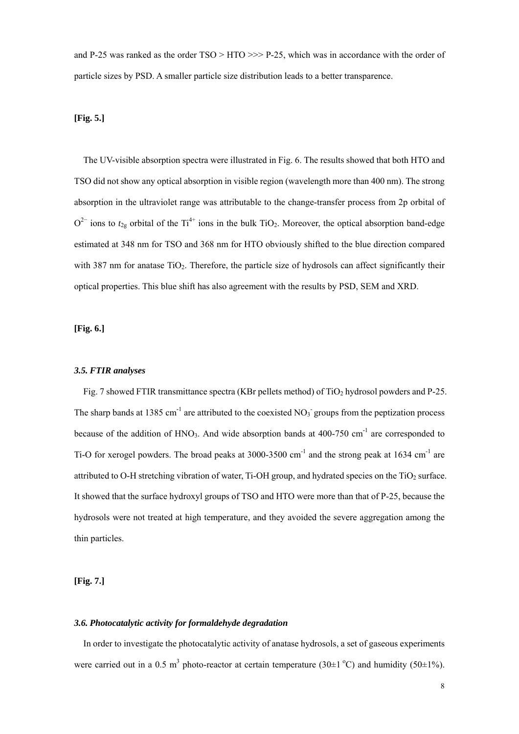and P-25 was ranked as the order  $TSO > HTO \gg P-25$ , which was in accordance with the order of particle sizes by PSD. A smaller particle size distribution leads to a better transparence.

# **[Fig. 5.]**

The UV-visible absorption spectra were illustrated in Fig. 6. The results showed that both HTO and TSO did not show any optical absorption in visible region (wavelength more than 400 nm). The strong absorption in the ultraviolet range was attributable to the change-transfer process from 2p orbital of  $O^{2-}$  ions to  $t_{2g}$  orbital of the Ti<sup>4+</sup> ions in the bulk TiO<sub>2</sub>. Moreover, the optical absorption band-edge estimated at 348 nm for TSO and 368 nm for HTO obviously shifted to the blue direction compared with 387 nm for anatase TiO<sub>2</sub>. Therefore, the particle size of hydrosols can affect significantly their optical properties. This blue shift has also agreement with the results by PSD, SEM and XRD.

# **[Fig. 6.]**

#### *3.5. FTIR analyses*

Fig. 7 showed FTIR transmittance spectra (KBr pellets method) of  $TiO<sub>2</sub>$  hydrosol powders and P-25. The sharp bands at 1385 cm<sup>-1</sup> are attributed to the coexisted NO<sub>3</sub> groups from the peptization process because of the addition of HNO<sub>3</sub>. And wide absorption bands at 400-750 cm<sup>-1</sup> are corresponded to Ti-O for xerogel powders. The broad peaks at 3000-3500 cm<sup>-1</sup> and the strong peak at 1634 cm<sup>-1</sup> are attributed to O-H stretching vibration of water, Ti-OH group, and hydrated species on the TiO<sub>2</sub> surface. It showed that the surface hydroxyl groups of TSO and HTO were more than that of P-25, because the hydrosols were not treated at high temperature, and they avoided the severe aggregation among the thin particles.

**[Fig. 7.]** 

#### *3.6. Photocatalytic activity for formaldehyde degradation*

In order to investigate the photocatalytic activity of anatase hydrosols, a set of gaseous experiments were carried out in a 0.5 m<sup>3</sup> photo-reactor at certain temperature (30 $\pm$ 1 °C) and humidity (50 $\pm$ 1%).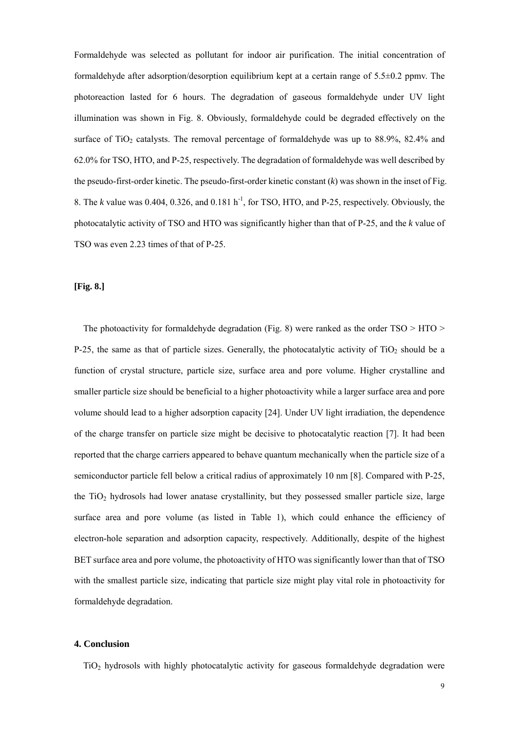Formaldehyde was selected as pollutant for indoor air purification. The initial concentration of formaldehyde after adsorption/desorption equilibrium kept at a certain range of 5.5±0.2 ppmv. The photoreaction lasted for 6 hours. The degradation of gaseous formaldehyde under UV light illumination was shown in Fig. 8. Obviously, formaldehyde could be degraded effectively on the surface of TiO<sub>2</sub> catalysts. The removal percentage of formaldehyde was up to  $88.9\%$ ,  $82.4\%$  and 62.0% for TSO, HTO, and P-25, respectively. The degradation of formaldehyde was well described by the pseudo-first-order kinetic. The pseudo-first-order kinetic constant  $(k)$  was shown in the inset of Fig. 8. The *k* value was 0.404, 0.326, and 0.181 h<sup>-1</sup>, for TSO, HTO, and P-25, respectively. Obviously, the photocatalytic activity of TSO and HTO was significantly higher than that of P-25, and the *k* value of TSO was even 2.23 times of that of P-25.

# **[Fig. 8.]**

The photoactivity for formaldehyde degradation (Fig. 8) were ranked as the order  $TSO > HTO >$ P-25, the same as that of particle sizes. Generally, the photocatalytic activity of  $TiO<sub>2</sub>$  should be a function of crystal structure, particle size, surface area and pore volume. Higher crystalline and smaller particle size should be beneficial to a higher photoactivity while a larger surface area and pore volume should lead to a higher adsorption capacity [24]. Under UV light irradiation, the dependence of the charge transfer on particle size might be decisive to photocatalytic reaction [7]. It had been reported that the charge carriers appeared to behave quantum mechanically when the particle size of a semiconductor particle fell below a critical radius of approximately 10 nm [8]. Compared with P-25, the  $TiO<sub>2</sub>$  hydrosols had lower anatase crystallinity, but they possessed smaller particle size, large surface area and pore volume (as listed in Table 1), which could enhance the efficiency of electron-hole separation and adsorption capacity, respectively. Additionally, despite of the highest BET surface area and pore volume, the photoactivity of HTO was significantly lower than that of TSO with the smallest particle size, indicating that particle size might play vital role in photoactivity for formaldehyde degradation.

#### **4. Conclusion**

TiO2 hydrosols with highly photocatalytic activity for gaseous formaldehyde degradation were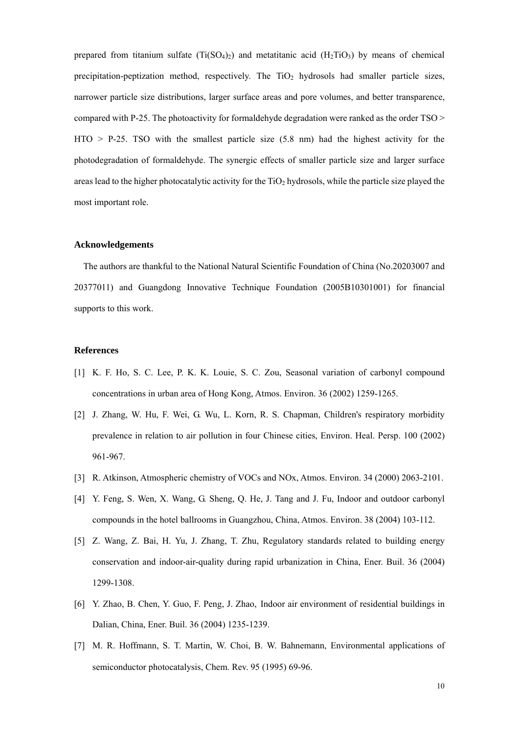prepared from titanium sulfate  $(Ti(SO<sub>4</sub>)<sub>2</sub>)$  and metatitanic acid  $(H<sub>2</sub>TiO<sub>3</sub>)$  by means of chemical precipitation-peptization method, respectively. The  $TiO<sub>2</sub>$  hydrosols had smaller particle sizes, narrower particle size distributions, larger surface areas and pore volumes, and better transparence, compared with P-25. The photoactivity for formaldehyde degradation were ranked as the order TSO >  $HTO > P-25$ . TSO with the smallest particle size  $(5.8 \text{ nm})$  had the highest activity for the photodegradation of formaldehyde. The synergic effects of smaller particle size and larger surface areas lead to the higher photocatalytic activity for the  $TiO<sub>2</sub>$  hydrosols, while the particle size played the most important role.

#### **Acknowledgements**

The authors are thankful to the National Natural Scientific Foundation of China (No.20203007 and 20377011) and Guangdong Innovative Technique Foundation (2005B10301001) for financial supports to this work.

#### **References**

- [1] K. F. Ho, S. C. Lee, P. K. K. Louie, S. C. Zou, Seasonal variation of carbonyl compound concentrations in urban area of Hong Kong, Atmos. Environ. 36 (2002) 1259-1265.
- [2] J. Zhang, W. Hu, F. Wei, G. Wu, L. Korn, R. S. Chapman, Children's respiratory morbidity prevalence in relation to air pollution in four Chinese cities, Environ. Heal. Persp. 100 (2002) 961-967.
- [3] R. Atkinson, Atmospheric chemistry of VOCs and NOx, Atmos. Environ. 34 (2000) 2063-2101.
- [4] Y. Feng, S. Wen, X. Wang, G. Sheng, Q. He, J. Tang and J. Fu, Indoor and outdoor carbonyl compounds in the hotel ballrooms in Guangzhou, China, Atmos. Environ. 38 (2004) 103-112.
- [5] Z. Wang, Z. Bai, H. Yu, J. Zhang, T. Zhu, Regulatory standards related to building energy conservation and indoor-air-quality during rapid urbanization in China, Ener. Buil. 36 (2004) 1299-1308.
- [6] Y. Zhao, B. Chen, Y. Guo, F. Peng, J. Zhao, Indoor air environment of residential buildings in Dalian, China, Ener. Buil. 36 (2004) 1235-1239.
- [7] M. R. Hoffmann, S. T. Martin, W. Choi, B. W. Bahnemann, Environmental applications of semiconductor photocatalysis, Chem. Rev. 95 (1995) 69-96.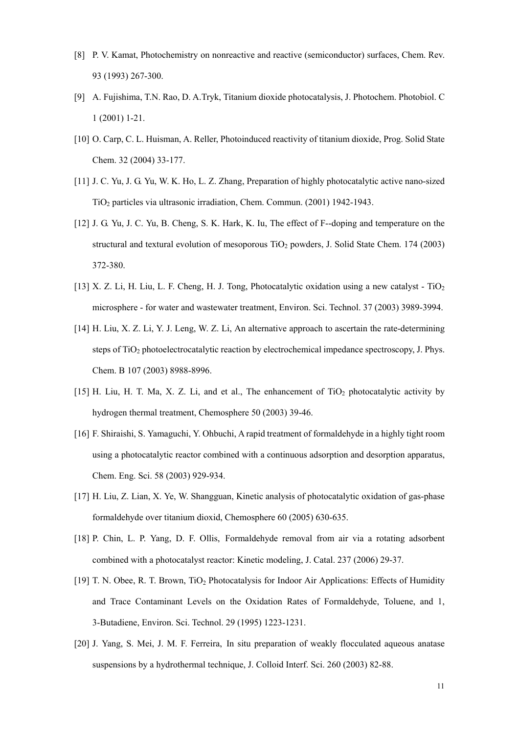- [8] P. V. Kamat, Photochemistry on nonreactive and reactive (semiconductor) surfaces, Chem. Rev. 93 (1993) 267-300.
- [9] A. Fujishima, T.N. Rao, D. A.Tryk, Titanium dioxide photocatalysis, J. Photochem. Photobiol. C 1 (2001) 1-21.
- [10] O. Carp, C. L. Huisman, A. Reller, Photoinduced reactivity of titanium dioxide, Prog. Solid State Chem. 32 (2004) 33-177.
- [11] J. C. Yu, J. G. Yu, W. K. Ho, L. Z. Zhang, Preparation of highly photocatalytic active nano-sized TiO2 particles via ultrasonic irradiation, Chem. Commun. (2001) 1942-1943.
- [12] J. G. Yu, J. C. Yu, B. Cheng, S. K. Hark, K. Iu, The effect of F--doping and temperature on the structural and textural evolution of mesoporous TiO<sub>2</sub> powders, J. Solid State Chem. 174 (2003) 372-380.
- [13] X. Z. Li, H. Liu, L. F. Cheng, H. J. Tong, Photocatalytic oxidation using a new catalyst  $TiO<sub>2</sub>$ microsphere - for water and wastewater treatment, Environ. Sci. Technol. 37 (2003) 3989-3994.
- [14] H. Liu, X. Z. Li, Y. J. Leng, W. Z. Li, An alternative approach to ascertain the rate-determining steps of TiO<sub>2</sub> photoelectrocatalytic reaction by electrochemical impedance spectroscopy, J. Phys. Chem. B 107 (2003) 8988-8996.
- [15] H. Liu, H. T. Ma, X. Z. Li, and et al., The enhancement of TiO<sub>2</sub> photocatalytic activity by hydrogen thermal treatment, Chemosphere 50 (2003) 39-46.
- [16] F. Shiraishi, S. Yamaguchi, Y. Ohbuchi, A rapid treatment of formaldehyde in a highly tight room using a photocatalytic reactor combined with a continuous adsorption and desorption apparatus, Chem. Eng. Sci. 58 (2003) 929-934.
- [17] H. Liu, Z. Lian, X. Ye, W. Shangguan, Kinetic analysis of photocatalytic oxidation of gas-phase formaldehyde over titanium dioxid, Chemosphere 60 (2005) 630-635.
- [18] P. Chin, L. P. Yang, D. F. Ollis, Formaldehyde removal from air via a rotating adsorbent combined with a photocatalyst reactor: Kinetic modeling, J. Catal. 237 (2006) 29-37.
- [19] T. N. Obee, R. T. Brown, TiO2 Photocatalysis for Indoor Air Applications: Effects of Humidity and Trace Contaminant Levels on the Oxidation Rates of Formaldehyde, Toluene, and 1, 3-Butadiene, Environ. Sci. Technol. 29 (1995) 1223-1231.
- [20] J. Yang, S. Mei, J. M. F. Ferreira, In situ preparation of weakly flocculated aqueous anatase suspensions by a hydrothermal technique, J. Colloid Interf. Sci. 260 (2003) 82-88.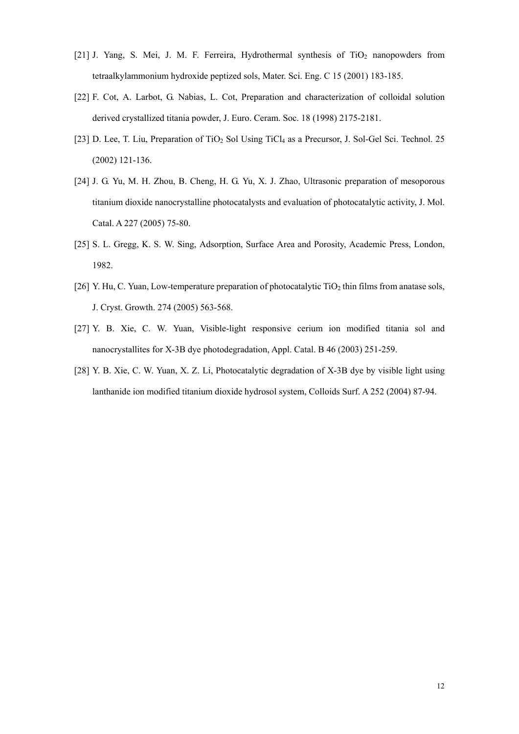- [21] J. Yang, S. Mei, J. M. F. Ferreira, Hydrothermal synthesis of  $TiO<sub>2</sub>$  nanopowders from tetraalkylammonium hydroxide peptized sols, Mater. Sci. Eng. C 15 (2001) 183-185.
- [22] F. Cot, A. Larbot, G. Nabias, L. Cot, Preparation and characterization of colloidal solution derived crystallized titania powder, J. Euro. Ceram. Soc. 18 (1998) 2175-2181.
- [23] D. Lee, T. Liu, Preparation of TiO<sub>2</sub> Sol Using TiCl<sub>4</sub> as a Precursor, J. Sol-Gel Sci. Technol. 25 (2002) 121-136.
- [24] J. G. Yu, M. H. Zhou, B. Cheng, H. G. Yu, X. J. Zhao, Ultrasonic preparation of mesoporous titanium dioxide nanocrystalline photocatalysts and evaluation of photocatalytic activity, J. Mol. Catal. A 227 (2005) 75-80.
- [25] S. L. Gregg, K. S. W. Sing, Adsorption, Surface Area and Porosity, Academic Press, London, 1982.
- [26] Y. Hu, C. Yuan, Low-temperature preparation of photocatalytic  $TiO<sub>2</sub>$  thin films from anatase sols, J. Cryst. Growth. 274 (2005) 563-568.
- [27] Y. B. Xie, C. W. Yuan, Visible-light responsive cerium ion modified titania sol and nanocrystallites for X-3B dye photodegradation, Appl. Catal. B 46 (2003) 251-259.
- [28] Y. B. Xie, C. W. Yuan, X. Z. Li, Photocatalytic degradation of X-3B dye by visible light using lanthanide ion modified titanium dioxide hydrosol system, Colloids Surf. A 252 (2004) 87-94.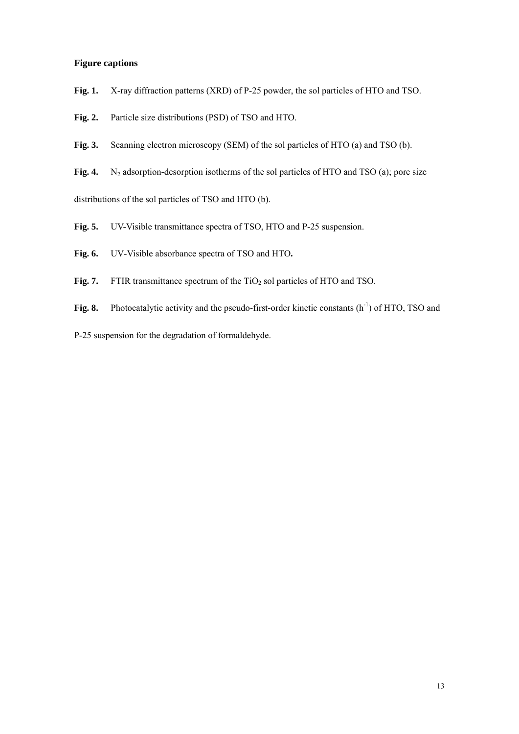# **Figure captions**

**Fig. 1.** X-ray diffraction patterns (XRD) of P-25 powder, the sol particles of HTO and TSO.

**Fig. 2.** Particle size distributions (PSD) of TSO and HTO.

**Fig. 3.** Scanning electron microscopy (SEM) of the sol particles of HTO (a) and TSO (b).

Fig. 4. N<sub>2</sub> adsorption-desorption isotherms of the sol particles of HTO and TSO (a); pore size distributions of the sol particles of TSO and HTO (b).

Fig. 5. UV-Visible transmittance spectra of TSO, HTO and P-25 suspension.

**Fig. 6.** UV-Visible absorbance spectra of TSO and HTO**.** 

**Fig. 7.** FTIR transmittance spectrum of the  $TiO<sub>2</sub>$  sol particles of HTO and TSO.

Fig. 8. Photocatalytic activity and the pseudo-first-order kinetic constants (h<sup>-1</sup>) of HTO, TSO and

P-25 suspension for the degradation of formaldehyde.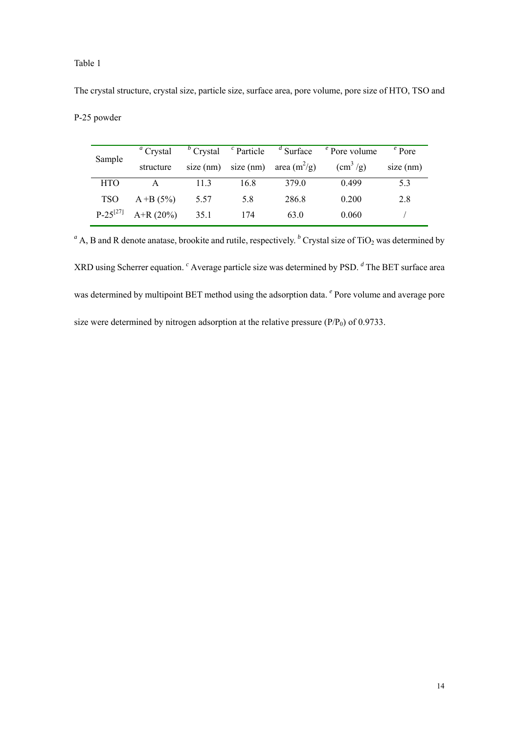# Table 1

The crystal structure, crystal size, particle size, surface area, pore volume, pore size of HTO, TSO and

|  | P-25 powder |
|--|-------------|
|--|-------------|

| Sample        | <sup><i>a</i></sup> Crystal |      |      | $b$ Crystal $c$ Particle $d$ Surface | $\epsilon$ Pore volume              | $e$ Pore    |
|---------------|-----------------------------|------|------|--------------------------------------|-------------------------------------|-------------|
|               | structure                   |      |      | size (nm) size (nm) area $(m^2/g)$   | $\left(\text{cm}^3/\text{g}\right)$ | $size$ (nm) |
| <b>HTO</b>    | А                           | 113  | 16.8 | 379.0                                | 0.499                               | 5.3         |
| <b>TSO</b>    | $A + B (5\%)$               | 5.57 | 5.8  | 286.8                                | 0.200                               | 2.8         |
| $P-25^{[27]}$ | $A+R(20\%)$                 | 35.1 | 174  | 63.0                                 | 0.060                               |             |

 $a^a$  A, B and R denote anatase, brookite and rutile, respectively. <sup>*b*</sup> Crystal size of TiO<sub>2</sub> was determined by XRD using Scherrer equation. <sup>*c*</sup> Average particle size was determined by PSD. <sup>*d*</sup> The BET surface area was determined by multipoint BET method using the adsorption data. *<sup>e</sup>* Pore volume and average pore size were determined by nitrogen adsorption at the relative pressure  $(P/P_0)$  of 0.9733.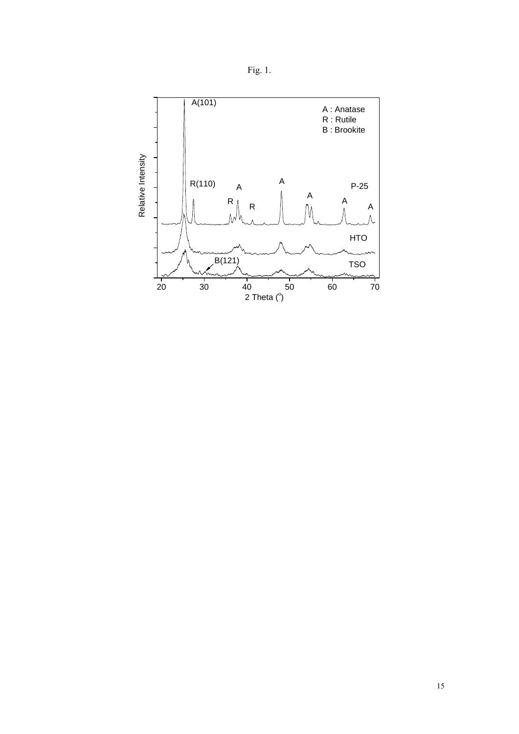

Fig. 1.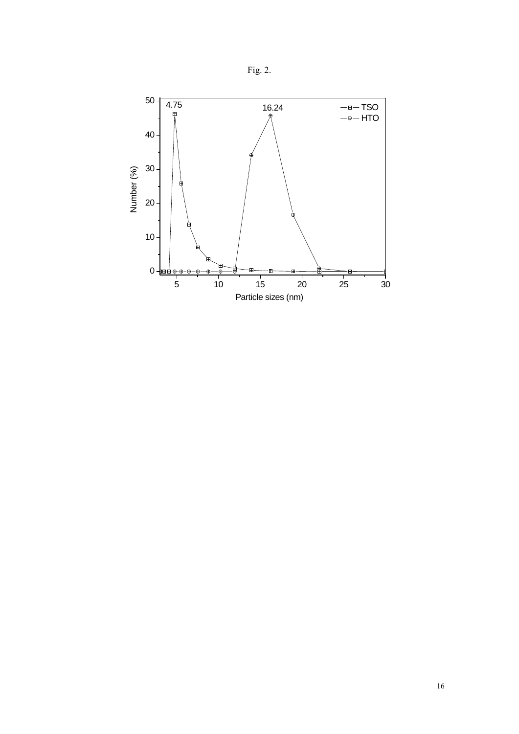

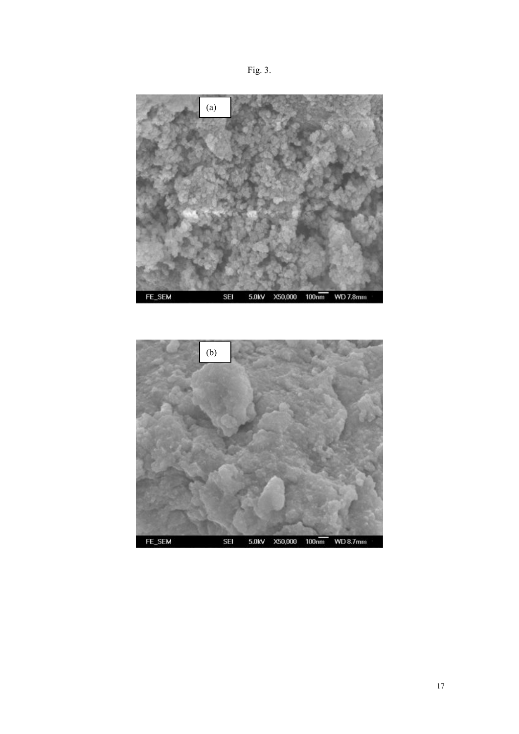



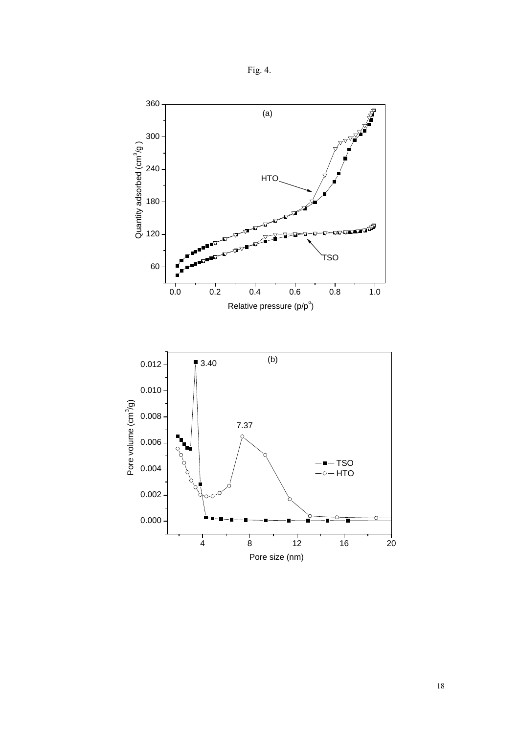

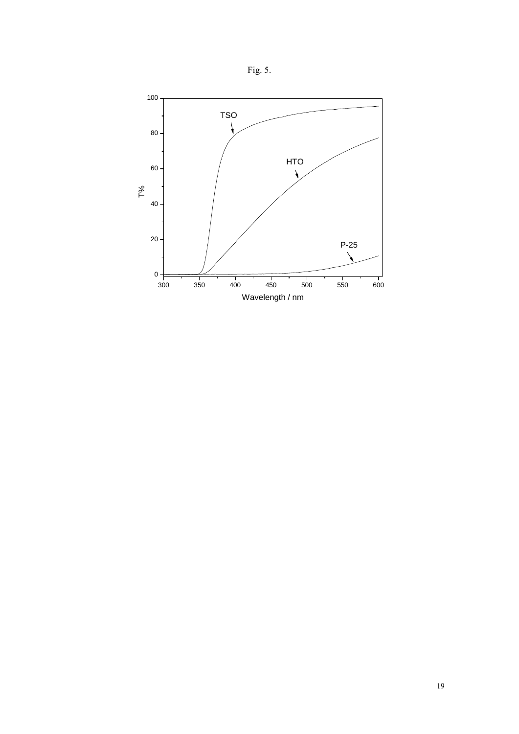

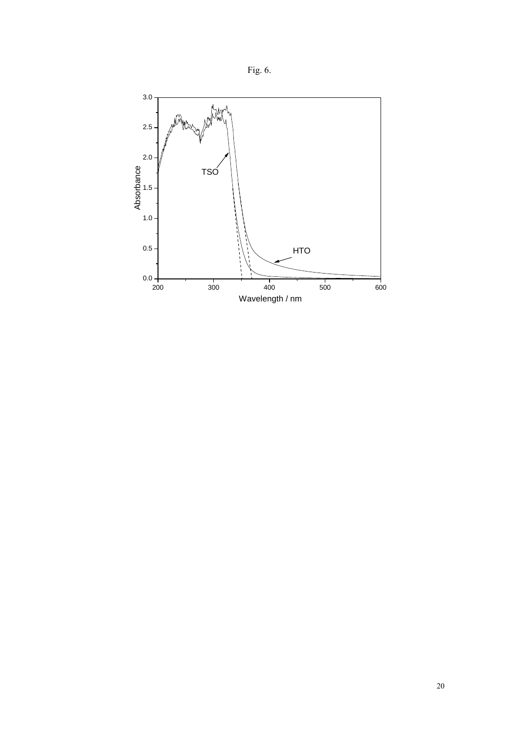

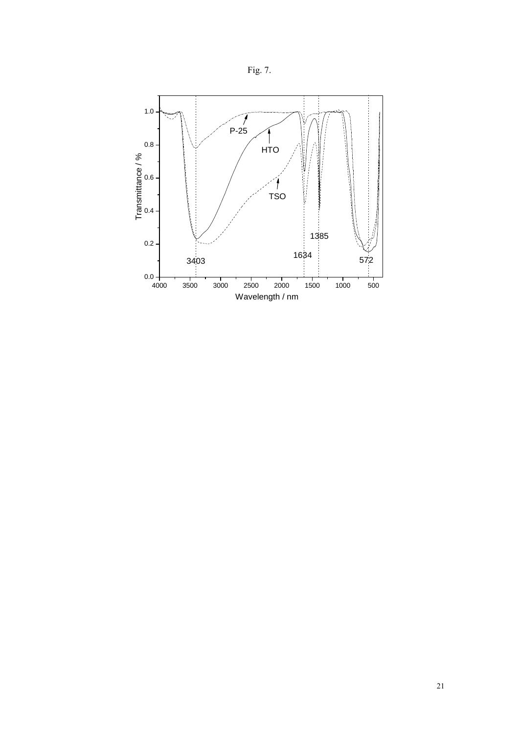